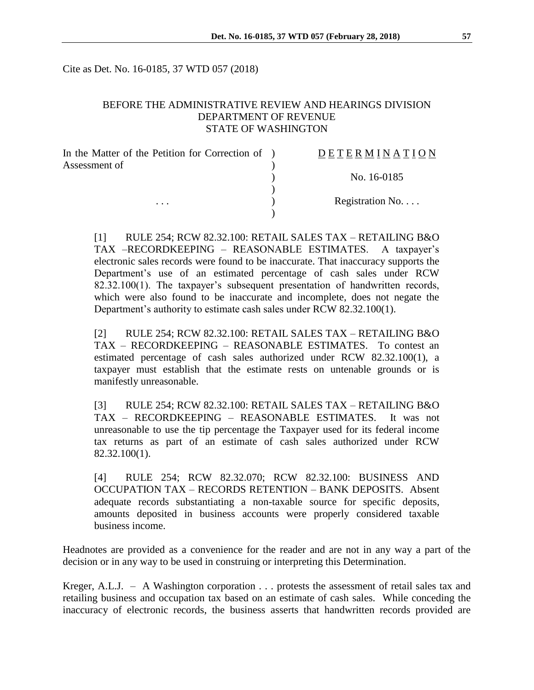Cite as Det. No. 16-0185, 37 WTD 057 (2018)

# BEFORE THE ADMINISTRATIVE REVIEW AND HEARINGS DIVISION DEPARTMENT OF REVENUE STATE OF WASHINGTON

| In the Matter of the Petition for Correction of ) | <b>DETERMINATION</b> |
|---------------------------------------------------|----------------------|
| Assessment of                                     |                      |
|                                                   | No. 16-0185          |
|                                                   |                      |
| $\cdots$                                          | Registration No      |
|                                                   |                      |

[1] RULE 254; RCW 82.32.100: RETAIL SALES TAX – RETAILING B&O TAX –RECORDKEEPING – REASONABLE ESTIMATES. A taxpayer's electronic sales records were found to be inaccurate. That inaccuracy supports the Department's use of an estimated percentage of cash sales under RCW 82.32.100(1). The taxpayer's subsequent presentation of handwritten records, which were also found to be inaccurate and incomplete, does not negate the Department's authority to estimate cash sales under RCW 82.32.100(1).

[2] RULE 254; RCW 82.32.100: RETAIL SALES TAX – RETAILING B&O TAX – RECORDKEEPING – REASONABLE ESTIMATES. To contest an estimated percentage of cash sales authorized under RCW 82.32.100(1), a taxpayer must establish that the estimate rests on untenable grounds or is manifestly unreasonable.

[3] RULE 254; RCW 82.32.100: RETAIL SALES TAX – RETAILING B&O TAX – RECORDKEEPING – REASONABLE ESTIMATES. It was not unreasonable to use the tip percentage the Taxpayer used for its federal income tax returns as part of an estimate of cash sales authorized under RCW 82.32.100(1).

[4] RULE 254; RCW 82.32.070; RCW 82.32.100: BUSINESS AND OCCUPATION TAX – RECORDS RETENTION – BANK DEPOSITS. Absent adequate records substantiating a non-taxable source for specific deposits, amounts deposited in business accounts were properly considered taxable business income.

Headnotes are provided as a convenience for the reader and are not in any way a part of the decision or in any way to be used in construing or interpreting this Determination.

Kreger, A.L.J. – A Washington corporation . . . protests the assessment of retail sales tax and retailing business and occupation tax based on an estimate of cash sales. While conceding the inaccuracy of electronic records, the business asserts that handwritten records provided are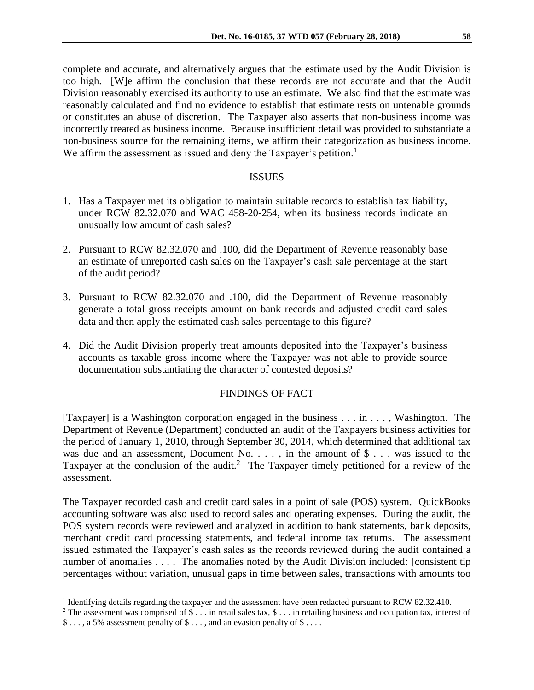complete and accurate, and alternatively argues that the estimate used by the Audit Division is too high. [W]e affirm the conclusion that these records are not accurate and that the Audit Division reasonably exercised its authority to use an estimate. We also find that the estimate was reasonably calculated and find no evidence to establish that estimate rests on untenable grounds or constitutes an abuse of discretion. The Taxpayer also asserts that non-business income was incorrectly treated as business income. Because insufficient detail was provided to substantiate a non-business source for the remaining items, we affirm their categorization as business income. We affirm the assessment as issued and deny the Taxpayer's petition.<sup>1</sup>

#### ISSUES

- 1. Has a Taxpayer met its obligation to maintain suitable records to establish tax liability, under RCW 82.32.070 and WAC 458-20-254, when its business records indicate an unusually low amount of cash sales?
- 2. Pursuant to RCW 82.32.070 and .100, did the Department of Revenue reasonably base an estimate of unreported cash sales on the Taxpayer's cash sale percentage at the start of the audit period?
- 3. Pursuant to RCW 82.32.070 and .100, did the Department of Revenue reasonably generate a total gross receipts amount on bank records and adjusted credit card sales data and then apply the estimated cash sales percentage to this figure?
- 4. Did the Audit Division properly treat amounts deposited into the Taxpayer's business accounts as taxable gross income where the Taxpayer was not able to provide source documentation substantiating the character of contested deposits?

# FINDINGS OF FACT

[Taxpayer] is a Washington corporation engaged in the business . . . in . . . , Washington. The Department of Revenue (Department) conducted an audit of the Taxpayers business activities for the period of January 1, 2010, through September 30, 2014, which determined that additional tax was due and an assessment, Document No. . . . , in the amount of  $\$\ldots\$  was issued to the Taxpayer at the conclusion of the audit.<sup>2</sup> The Taxpayer timely petitioned for a review of the assessment.

The Taxpayer recorded cash and credit card sales in a point of sale (POS) system. QuickBooks accounting software was also used to record sales and operating expenses. During the audit, the POS system records were reviewed and analyzed in addition to bank statements, bank deposits, merchant credit card processing statements, and federal income tax returns. The assessment issued estimated the Taxpayer's cash sales as the records reviewed during the audit contained a number of anomalies . . . . The anomalies noted by the Audit Division included: [consistent tip percentages without variation, unusual gaps in time between sales, transactions with amounts too

 $\overline{a}$ 

<sup>&</sup>lt;sup>1</sup> Identifying details regarding the taxpayer and the assessment have been redacted pursuant to RCW 82.32.410.

<sup>&</sup>lt;sup>2</sup> The assessment was comprised of \$ . . . in retail sales tax, \$ . . . in retailing business and occupation tax, interest of \$ . . . , a 5% assessment penalty of \$ . . . , and an evasion penalty of \$ . . . .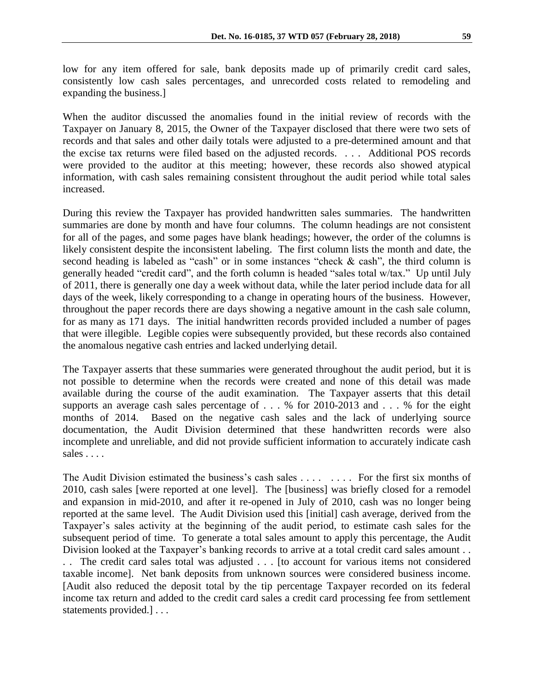low for any item offered for sale, bank deposits made up of primarily credit card sales, consistently low cash sales percentages, and unrecorded costs related to remodeling and expanding the business.]

When the auditor discussed the anomalies found in the initial review of records with the Taxpayer on January 8, 2015, the Owner of the Taxpayer disclosed that there were two sets of records and that sales and other daily totals were adjusted to a pre-determined amount and that the excise tax returns were filed based on the adjusted records. . . . Additional POS records were provided to the auditor at this meeting; however, these records also showed atypical information, with cash sales remaining consistent throughout the audit period while total sales increased.

During this review the Taxpayer has provided handwritten sales summaries. The handwritten summaries are done by month and have four columns. The column headings are not consistent for all of the pages, and some pages have blank headings; however, the order of the columns is likely consistent despite the inconsistent labeling. The first column lists the month and date, the second heading is labeled as "cash" or in some instances "check & cash", the third column is generally headed "credit card", and the forth column is headed "sales total w/tax." Up until July of 2011, there is generally one day a week without data, while the later period include data for all days of the week, likely corresponding to a change in operating hours of the business. However, throughout the paper records there are days showing a negative amount in the cash sale column, for as many as 171 days. The initial handwritten records provided included a number of pages that were illegible. Legible copies were subsequently provided, but these records also contained the anomalous negative cash entries and lacked underlying detail.

The Taxpayer asserts that these summaries were generated throughout the audit period, but it is not possible to determine when the records were created and none of this detail was made available during the course of the audit examination. The Taxpayer asserts that this detail supports an average cash sales percentage of . . . % for 2010-2013 and . . . % for the eight months of 2014. Based on the negative cash sales and the lack of underlying source documentation, the Audit Division determined that these handwritten records were also incomplete and unreliable, and did not provide sufficient information to accurately indicate cash sales . . . .

The Audit Division estimated the business's cash sales . . . . . . . . For the first six months of 2010, cash sales [were reported at one level]. The [business] was briefly closed for a remodel and expansion in mid-2010, and after it re-opened in July of 2010, cash was no longer being reported at the same level. The Audit Division used this [initial] cash average, derived from the Taxpayer's sales activity at the beginning of the audit period, to estimate cash sales for the subsequent period of time. To generate a total sales amount to apply this percentage, the Audit Division looked at the Taxpayer's banking records to arrive at a total credit card sales amount . . . . The credit card sales total was adjusted . . . [to account for various items not considered taxable income]. Net bank deposits from unknown sources were considered business income. [Audit also reduced the deposit total by the tip percentage Taxpayer recorded on its federal income tax return and added to the credit card sales a credit card processing fee from settlement statements provided.] . . .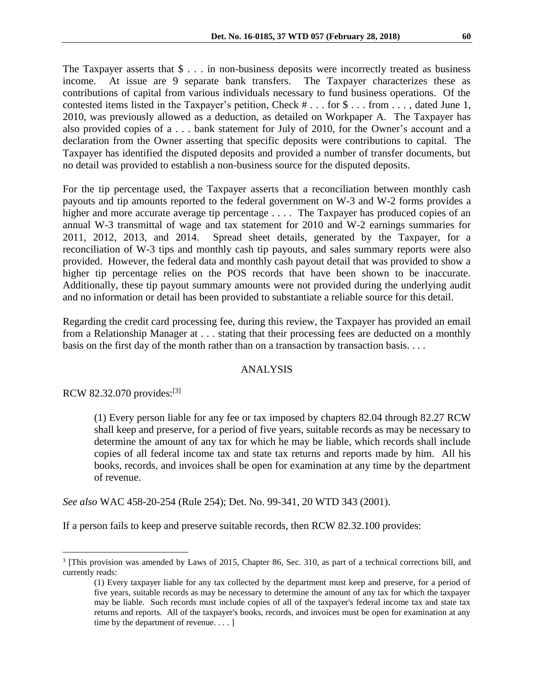The Taxpayer asserts that \$ . . . in non-business deposits were incorrectly treated as business income. At issue are 9 separate bank transfers. The Taxpayer characterizes these as contributions of capital from various individuals necessary to fund business operations. Of the contested items listed in the Taxpayer's petition, Check # . . . for \$ . . . from . . . , dated June 1, 2010, was previously allowed as a deduction, as detailed on Workpaper A. The Taxpayer has also provided copies of a . . . bank statement for July of 2010, for the Owner's account and a declaration from the Owner asserting that specific deposits were contributions to capital. The Taxpayer has identified the disputed deposits and provided a number of transfer documents, but no detail was provided to establish a non-business source for the disputed deposits.

For the tip percentage used, the Taxpayer asserts that a reconciliation between monthly cash payouts and tip amounts reported to the federal government on W-3 and W-2 forms provides a higher and more accurate average tip percentage . . . . The Taxpayer has produced copies of an annual W-3 transmittal of wage and tax statement for 2010 and W-2 earnings summaries for 2011, 2012, 2013, and 2014. Spread sheet details, generated by the Taxpayer, for a reconciliation of W-3 tips and monthly cash tip payouts, and sales summary reports were also provided. However, the federal data and monthly cash payout detail that was provided to show a higher tip percentage relies on the POS records that have been shown to be inaccurate. Additionally, these tip payout summary amounts were not provided during the underlying audit and no information or detail has been provided to substantiate a reliable source for this detail.

Regarding the credit card processing fee, during this review, the Taxpayer has provided an email from a Relationship Manager at . . . stating that their processing fees are deducted on a monthly basis on the first day of the month rather than on a transaction by transaction basis. . . .

# ANALYSIS

RCW 82.32.070 provides:[3]

 $\overline{a}$ 

(1) Every person liable for any fee or tax imposed by chapters 82.04 through 82.27 RCW shall keep and preserve, for a period of five years, suitable records as may be necessary to determine the amount of any tax for which he may be liable, which records shall include copies of all federal income tax and state tax returns and reports made by him. All his books, records, and invoices shall be open for examination at any time by the department of revenue.

*See also* WAC 458-20-254 (Rule 254); Det. No. 99-341, 20 WTD 343 (2001).

If a person fails to keep and preserve suitable records, then RCW 82.32.100 provides:

<sup>&</sup>lt;sup>3</sup> [This provision was amended by Laws of 2015, Chapter 86, Sec. 310, as part of a technical corrections bill, and currently reads:

<sup>(1)</sup> Every taxpayer liable for any tax collected by the department must keep and preserve, for a period of five years, suitable records as may be necessary to determine the amount of any tax for which the taxpayer may be liable. Such records must include copies of all of the taxpayer's federal income tax and state tax returns and reports. All of the taxpayer's books, records, and invoices must be open for examination at any time by the department of revenue. . . . ]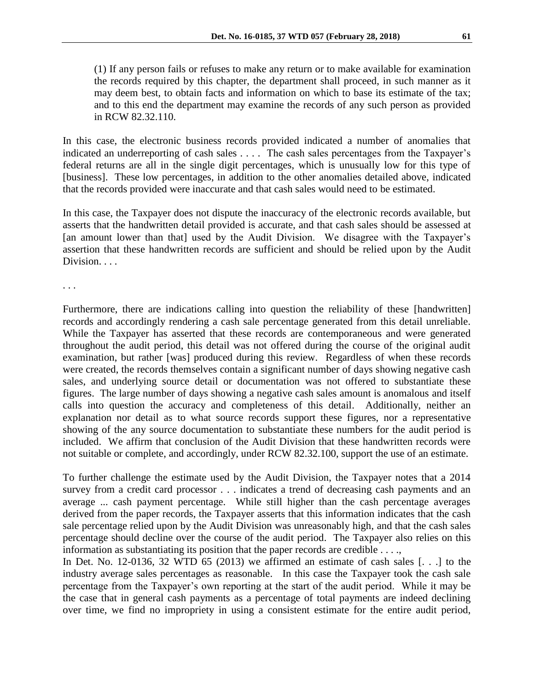(1) If any person fails or refuses to make any return or to make available for examination the records required by this chapter, the department shall proceed, in such manner as it may deem best, to obtain facts and information on which to base its estimate of the tax; and to this end the department may examine the records of any such person as provided in RCW 82.32.110.

In this case, the electronic business records provided indicated a number of anomalies that indicated an underreporting of cash sales . . . . The cash sales percentages from the Taxpayer's federal returns are all in the single digit percentages, which is unusually low for this type of [business]. These low percentages, in addition to the other anomalies detailed above, indicated that the records provided were inaccurate and that cash sales would need to be estimated.

In this case, the Taxpayer does not dispute the inaccuracy of the electronic records available, but asserts that the handwritten detail provided is accurate, and that cash sales should be assessed at [an amount lower than that] used by the Audit Division. We disagree with the Taxpayer's assertion that these handwritten records are sufficient and should be relied upon by the Audit Division. . . .

. . .

Furthermore, there are indications calling into question the reliability of these [handwritten] records and accordingly rendering a cash sale percentage generated from this detail unreliable. While the Taxpayer has asserted that these records are contemporaneous and were generated throughout the audit period, this detail was not offered during the course of the original audit examination, but rather [was] produced during this review. Regardless of when these records were created, the records themselves contain a significant number of days showing negative cash sales, and underlying source detail or documentation was not offered to substantiate these figures. The large number of days showing a negative cash sales amount is anomalous and itself calls into question the accuracy and completeness of this detail. Additionally, neither an explanation nor detail as to what source records support these figures, nor a representative showing of the any source documentation to substantiate these numbers for the audit period is included. We affirm that conclusion of the Audit Division that these handwritten records were not suitable or complete, and accordingly, under RCW 82.32.100, support the use of an estimate.

To further challenge the estimate used by the Audit Division, the Taxpayer notes that a 2014 survey from a credit card processor . . . indicates a trend of decreasing cash payments and an average ... cash payment percentage. While still higher than the cash percentage averages derived from the paper records, the Taxpayer asserts that this information indicates that the cash sale percentage relied upon by the Audit Division was unreasonably high, and that the cash sales percentage should decline over the course of the audit period. The Taxpayer also relies on this information as substantiating its position that the paper records are credible . . . .,

In Det. No. 12-0136, 32 WTD 65 (2013) we affirmed an estimate of cash sales  $[...]$  to the industry average sales percentages as reasonable. In this case the Taxpayer took the cash sale percentage from the Taxpayer's own reporting at the start of the audit period. While it may be the case that in general cash payments as a percentage of total payments are indeed declining over time, we find no impropriety in using a consistent estimate for the entire audit period,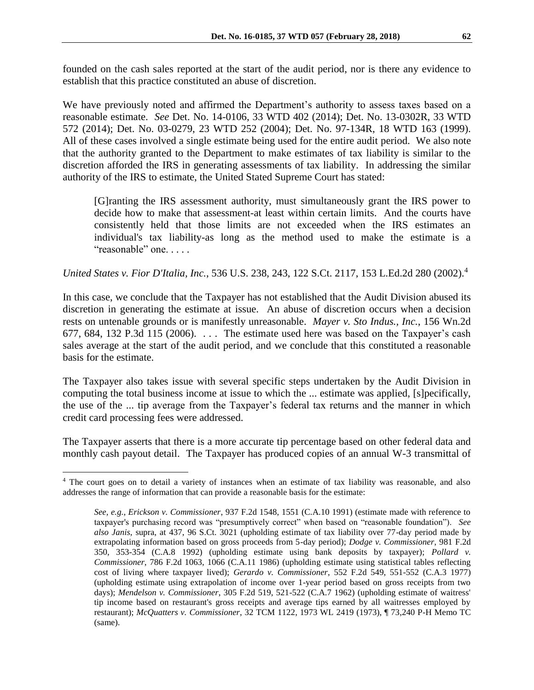founded on the cash sales reported at the start of the audit period, nor is there any evidence to establish that this practice constituted an abuse of discretion.

We have previously noted and affirmed the Department's authority to assess taxes based on a reasonable estimate. *See* Det. No. 14-0106, 33 WTD 402 (2014); Det. No. 13-0302R, 33 WTD 572 (2014); Det. No. 03-0279, 23 WTD 252 (2004); Det. No. 97-134R, 18 WTD 163 (1999). All of these cases involved a single estimate being used for the entire audit period. We also note that the authority granted to the Department to make estimates of tax liability is similar to the discretion afforded the IRS in generating assessments of tax liability. In addressing the similar authority of the IRS to estimate, the United Stated Supreme Court has stated:

[G]ranting the IRS assessment authority, must simultaneously grant the IRS power to decide how to make that assessment-at least within certain limits. And the courts have consistently held that those limits are not exceeded when the IRS estimates an individual's tax liability-as long as the method used to make the estimate is a "reasonable" one. . . . .

*United States v. Fior D'Italia, Inc.*, 536 U.S. 238, 243, 122 S.Ct. 2117, 153 L.Ed.2d 280 (2002).<sup>4</sup>

In this case, we conclude that the Taxpayer has not established that the Audit Division abused its discretion in generating the estimate at issue. An abuse of discretion occurs when a decision rests on untenable grounds or is manifestly unreasonable. *Mayer v. Sto Indus., Inc.*, 156 Wn.2d 677, 684, 132 P.3d 115 (2006).  $\ldots$  The estimate used here was based on the Taxpayer's cash sales average at the start of the audit period, and we conclude that this constituted a reasonable basis for the estimate.

The Taxpayer also takes issue with several specific steps undertaken by the Audit Division in computing the total business income at issue to which the ... estimate was applied, [s]pecifically, the use of the ... tip average from the Taxpayer's federal tax returns and the manner in which credit card processing fees were addressed.

The Taxpayer asserts that there is a more accurate tip percentage based on other federal data and monthly cash payout detail. The Taxpayer has produced copies of an annual W-3 transmittal of

 $\overline{a}$ 

<sup>4</sup> The court goes on to detail a variety of instances when an estimate of tax liability was reasonable, and also addresses the range of information that can provide a reasonable basis for the estimate:

*See, e.g., Erickson v. Commissioner*, 937 F.2d 1548, 1551 (C.A.10 1991) (estimate made with reference to taxpayer's purchasing record was "presumptively correct" when based on "reasonable foundation"). *See also Janis*, supra, at 437, 96 S.Ct. 3021 (upholding estimate of tax liability over 77-day period made by extrapolating information based on gross proceeds from 5-day period); *Dodge v. Commissioner*, 981 F.2d 350, 353-354 (C.A.8 1992) (upholding estimate using bank deposits by taxpayer); *Pollard v. Commissioner*, 786 F.2d 1063, 1066 (C.A.11 1986) (upholding estimate using statistical tables reflecting cost of living where taxpayer lived); *Gerardo v. Commissioner*, 552 F.2d 549, 551-552 (C.A.3 1977) (upholding estimate using extrapolation of income over 1-year period based on gross receipts from two days); *Mendelson v. Commissioner*, 305 F.2d 519, 521-522 (C.A.7 1962) (upholding estimate of waitress' tip income based on restaurant's gross receipts and average tips earned by all waitresses employed by restaurant); *McQuatters v. Commissioner*, 32 TCM 1122, 1973 WL 2419 (1973), ¶ 73,240 P-H Memo TC (same).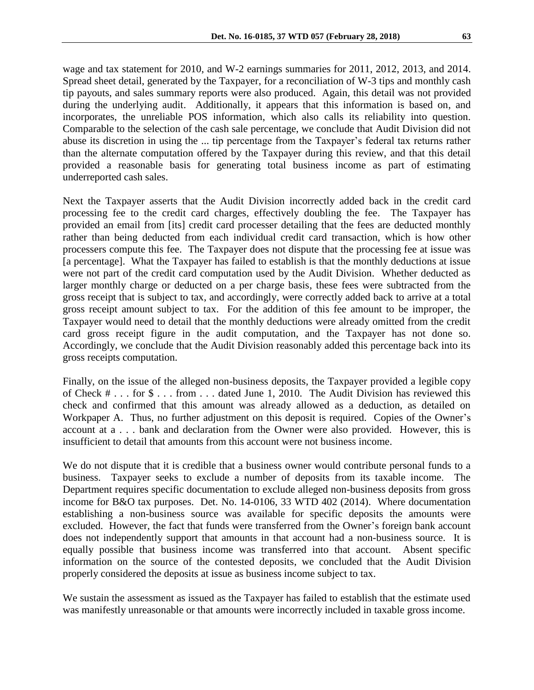wage and tax statement for 2010, and W-2 earnings summaries for 2011, 2012, 2013, and 2014. Spread sheet detail, generated by the Taxpayer, for a reconciliation of W-3 tips and monthly cash tip payouts, and sales summary reports were also produced. Again, this detail was not provided during the underlying audit. Additionally, it appears that this information is based on, and incorporates, the unreliable POS information, which also calls its reliability into question. Comparable to the selection of the cash sale percentage, we conclude that Audit Division did not abuse its discretion in using the ... tip percentage from the Taxpayer's federal tax returns rather than the alternate computation offered by the Taxpayer during this review, and that this detail provided a reasonable basis for generating total business income as part of estimating underreported cash sales.

Next the Taxpayer asserts that the Audit Division incorrectly added back in the credit card processing fee to the credit card charges, effectively doubling the fee. The Taxpayer has provided an email from [its] credit card processer detailing that the fees are deducted monthly rather than being deducted from each individual credit card transaction, which is how other processers compute this fee. The Taxpayer does not dispute that the processing fee at issue was [a percentage]. What the Taxpayer has failed to establish is that the monthly deductions at issue were not part of the credit card computation used by the Audit Division. Whether deducted as larger monthly charge or deducted on a per charge basis, these fees were subtracted from the gross receipt that is subject to tax, and accordingly, were correctly added back to arrive at a total gross receipt amount subject to tax. For the addition of this fee amount to be improper, the Taxpayer would need to detail that the monthly deductions were already omitted from the credit card gross receipt figure in the audit computation, and the Taxpayer has not done so. Accordingly, we conclude that the Audit Division reasonably added this percentage back into its gross receipts computation.

Finally, on the issue of the alleged non-business deposits, the Taxpayer provided a legible copy of Check # . . . for \$ . . . from . . . dated June 1, 2010. The Audit Division has reviewed this check and confirmed that this amount was already allowed as a deduction, as detailed on Workpaper A. Thus, no further adjustment on this deposit is required. Copies of the Owner's account at a . . . bank and declaration from the Owner were also provided. However, this is insufficient to detail that amounts from this account were not business income.

We do not dispute that it is credible that a business owner would contribute personal funds to a business. Taxpayer seeks to exclude a number of deposits from its taxable income. The Department requires specific documentation to exclude alleged non-business deposits from gross income for B&O tax purposes. Det. No. 14-0106, 33 WTD 402 (2014). Where documentation establishing a non-business source was available for specific deposits the amounts were excluded. However, the fact that funds were transferred from the Owner's foreign bank account does not independently support that amounts in that account had a non-business source. It is equally possible that business income was transferred into that account. Absent specific information on the source of the contested deposits, we concluded that the Audit Division properly considered the deposits at issue as business income subject to tax.

We sustain the assessment as issued as the Taxpayer has failed to establish that the estimate used was manifestly unreasonable or that amounts were incorrectly included in taxable gross income.